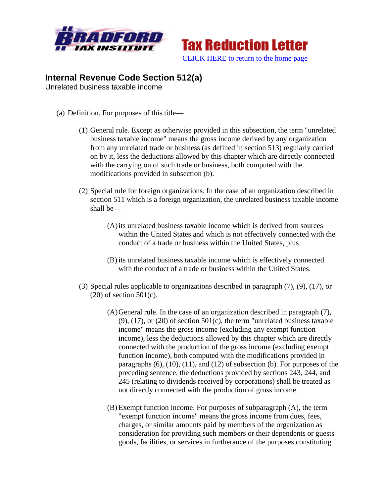



## **Internal Revenue Code Section 512(a)**

Unrelated business taxable income

- (a) Definition. For purposes of this title—
	- (1) General rule. Except as otherwise provided in this subsection, the term "unrelated business taxable income" means the gross income derived by any organization from any unrelated trade or business (as defined in section 513) regularly carried on by it, less the deductions allowed by this chapter which are directly connected with the carrying on of such trade or business, both computed with the modifications provided in subsection (b).
	- (2) Special rule for foreign organizations. In the case of an organization described in section 511 which is a foreign organization, the unrelated business taxable income shall be—
		- (A)its unrelated business taxable income which is derived from sources within the United States and which is not effectively connected with the conduct of a trade or business within the United States, plus
		- (B) its unrelated business taxable income which is effectively connected with the conduct of a trade or business within the United States.
	- (3) Special rules applicable to organizations described in paragraph (7), (9), (17), or (20) of section 501(c).
		- (A)General rule. In the case of an organization described in paragraph (7), (9),  $(17)$ , or  $(20)$  of section  $501(c)$ , the term "unrelated business taxable income" means the gross income (excluding any exempt function income), less the deductions allowed by this chapter which are directly connected with the production of the gross income (excluding exempt function income), both computed with the modifications provided in paragraphs  $(6)$ ,  $(10)$ ,  $(11)$ , and  $(12)$  of subsection  $(b)$ . For purposes of the preceding sentence, the deductions provided by sections 243, 244, and 245 (relating to dividends received by corporations) shall be treated as not directly connected with the production of gross income.
		- (B) Exempt function income. For purposes of subparagraph (A), the term "exempt function income" means the gross income from dues, fees, charges, or similar amounts paid by members of the organization as consideration for providing such members or their dependents or guests goods, facilities, or services in furtherance of the purposes constituting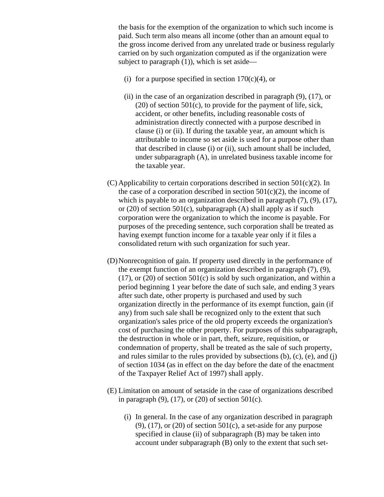the basis for the exemption of the organization to which such income is paid. Such term also means all income (other than an amount equal to the gross income derived from any unrelated trade or business regularly carried on by such organization computed as if the organization were subject to paragraph  $(1)$ ), which is set aside—

- (i) for a purpose specified in section  $170(c)(4)$ , or
- (ii) in the case of an organization described in paragraph (9), (17), or (20) of section 501(c), to provide for the payment of life, sick, accident, or other benefits, including reasonable costs of administration directly connected with a purpose described in clause (i) or (ii). If during the taxable year, an amount which is attributable to income so set aside is used for a purpose other than that described in clause (i) or (ii), such amount shall be included, under subparagraph (A), in unrelated business taxable income for the taxable year.
- (C) Applicability to certain corporations described in section 501(c)(2). In the case of a corporation described in section  $501(c)(2)$ , the income of which is payable to an organization described in paragraph  $(7)$ ,  $(9)$ ,  $(17)$ , or (20) of section 501(c), subparagraph (A) shall apply as if such corporation were the organization to which the income is payable. For purposes of the preceding sentence, such corporation shall be treated as having exempt function income for a taxable year only if it files a consolidated return with such organization for such year.
- (D)Nonrecognition of gain. If property used directly in the performance of the exempt function of an organization described in paragraph (7), (9), (17), or (20) of section 501(c) is sold by such organization, and within a period beginning 1 year before the date of such sale, and ending 3 years after such date, other property is purchased and used by such organization directly in the performance of its exempt function, gain (if any) from such sale shall be recognized only to the extent that such organization's sales price of the old property exceeds the organization's cost of purchasing the other property. For purposes of this subparagraph, the destruction in whole or in part, theft, seizure, requisition, or condemnation of property, shall be treated as the sale of such property, and rules similar to the rules provided by subsections (b), (c), (e), and (j) of section 1034 (as in effect on the day before the date of the enactment of the Taxpayer Relief Act of 1997) shall apply.
- (E) Limitation on amount of setaside in the case of organizations described in paragraph  $(9)$ ,  $(17)$ , or  $(20)$  of section  $501(c)$ .
	- (i) In general. In the case of any organization described in paragraph  $(9)$ ,  $(17)$ , or  $(20)$  of section  $501(c)$ , a set-aside for any purpose specified in clause (ii) of subparagraph (B) may be taken into account under subparagraph (B) only to the extent that such set-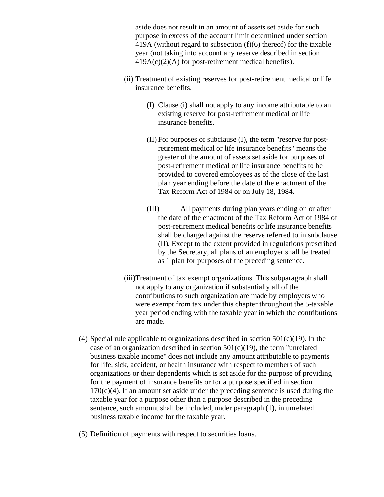aside does not result in an amount of assets set aside for such purpose in excess of the account limit determined under section 419A (without regard to subsection (f)(6) thereof) for the taxable year (not taking into account any reserve described in section  $419A(c)(2)(A)$  for post-retirement medical benefits).

- (ii) Treatment of existing reserves for post-retirement medical or life insurance benefits.
	- (I) Clause (i) shall not apply to any income attributable to an existing reserve for post-retirement medical or life insurance benefits.
	- (II) For purposes of subclause (I), the term "reserve for postretirement medical or life insurance benefits" means the greater of the amount of assets set aside for purposes of post-retirement medical or life insurance benefits to be provided to covered employees as of the close of the last plan year ending before the date of the enactment of the Tax Reform Act of 1984 or on July 18, 1984.
	- (III) All payments during plan years ending on or after the date of the enactment of the Tax Reform Act of 1984 of post-retirement medical benefits or life insurance benefits shall be charged against the reserve referred to in subclause (II). Except to the extent provided in regulations prescribed by the Secretary, all plans of an employer shall be treated as 1 plan for purposes of the preceding sentence.
- (iii)Treatment of tax exempt organizations. This subparagraph shall not apply to any organization if substantially all of the contributions to such organization are made by employers who were exempt from tax under this chapter throughout the 5-taxable year period ending with the taxable year in which the contributions are made.
- (4) Special rule applicable to organizations described in section  $501(c)(19)$ . In the case of an organization described in section  $501(c)(19)$ , the term "unrelated business taxable income" does not include any amount attributable to payments for life, sick, accident, or health insurance with respect to members of such organizations or their dependents which is set aside for the purpose of providing for the payment of insurance benefits or for a purpose specified in section  $170(c)(4)$ . If an amount set aside under the preceding sentence is used during the taxable year for a purpose other than a purpose described in the preceding sentence, such amount shall be included, under paragraph (1), in unrelated business taxable income for the taxable year.
- (5) Definition of payments with respect to securities loans.